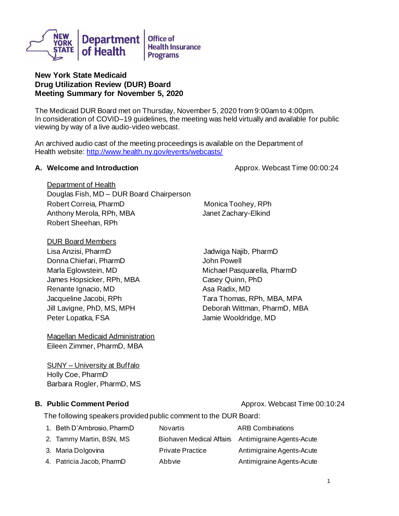

# **New York State Medicaid Drug Utilization Review (DUR) Board Meeting Summary for November 5, 2020**

The Medicaid DUR Board met on Thursday, November 5, 2020 from 9:00am to 4:00pm. In consideration of COVID–19 guidelines, the meeting was held virtually and available for public viewing by way of a live audio-video webcast.

An archived audio cast of the meeting proceedings is available on the Department of Health website: <http://www.health.ny.gov/events/webcasts/>

## **A. Welcome and Introduction All intervention Approx.** Webcast Time 00:00:24

Department of Health Douglas Fish, MD – DUR Board Chairperson Robert Correia, PharmD Monica Toohey, RPh Anthony Merola, RPh, MBA Janet Zachary-Elkind Robert Sheehan, RPh

DUR Board Members

Lisa Anzisi, PharmD Jadwiga Najib, PharmD Donna Chiefari, PharmD Marla Eglowstein, MD James Hopsicker, RPh, MBA Renante Ignacio, MD Jacqueline Jacobi, RPh Jill Lavigne, PhD, MS, MPH Peter Lopatka, FSA

Magellan Medicaid Administration Eileen Zimmer, PharmD, MBA

SUNY – University at Buffalo Holly Coe, PharmD Barbara Rogler, PharmD, MS

## **B.** Public Comment Period **Approx. Webcast Time 00:10:24**

John Powell Michael Pasquarella, PharmD Casey Quinn, PhD Asa Radix, MD Tara Thomas, RPh, MBA, MPA Deborah Wittman, PharmD, MBA Jamie Wooldridge, MD

The following speakers provided public comment to the DUR Board:

1. Beth D'Ambrosio, PharmD Novartis ARB Combinations 2. Tammy Martin, BSN, MS 3. Maria Dolgovina 4. Patricia Jacob, PharmD Biohaven Medical Affairs Antimigraine Agents-Acute Private Practice Abbvie Antimigraine Agents-Acute Antimigraine Agents-Acute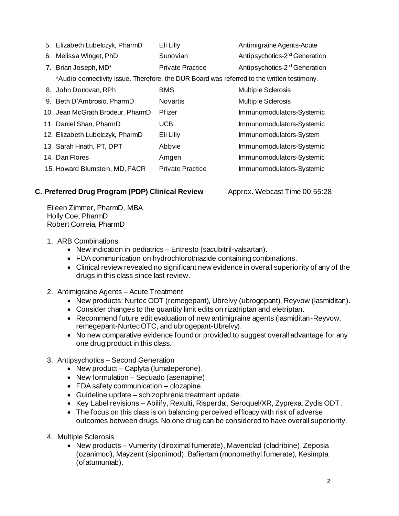| 5. Elizabeth Lubelczyk, PharmD                                                             | Eli Lilly               | Antimigraine Agents-Acute                 |  |
|--------------------------------------------------------------------------------------------|-------------------------|-------------------------------------------|--|
| 6. Melissa Winget, PhD                                                                     | Sunovian                | Antipsychotics-2 <sup>nd</sup> Generation |  |
| 7. Brian Joseph, MD*                                                                       | <b>Private Practice</b> | Antipsychotics-2 <sup>nd</sup> Generation |  |
| *Audio connectivity issue. Therefore, the DUR Board was referred to the written testimony. |                         |                                           |  |
| 8. John Donovan, RPh                                                                       | <b>BMS</b>              | <b>Multiple Sclerosis</b>                 |  |
| 9. Beth D'Ambrosio, PharmD                                                                 | <b>Novartis</b>         | <b>Multiple Sclerosis</b>                 |  |
| 10. Jean McGrath Brodeur, PharmD                                                           | Pfizer                  | Immunomodulators-Systemic                 |  |
| 11. Daniel Shan, PharmD                                                                    | <b>UCB</b>              | Immunomodulators-Systemic                 |  |
| 12. Elizabeth Lubelczyk, PharmD                                                            | Eli Lilly               | Immunomodulators-System                   |  |
| 13. Sarah Hnath, PT, DPT                                                                   | Abbvie                  | Immunomodulators-Systemic                 |  |
| 14. Dan Flores                                                                             | Amgen                   | Immunomodulators-Systemic                 |  |
| 15. Howard Blumstein, MD, FACR                                                             | <b>Private Practice</b> | Immunomodulators-Systemic                 |  |

# **C. Preferred Drug Program (PDP) Clinical Review Approx. Webcast Time 00:55:28**

Eileen Zimmer, PharmD, MBA Holly Coe, PharmD Robert Correia, PharmD

- 1. ARB Combinations
	- New indication in pediatrics Entresto (sacubitril-valsartan).
	- FDA communication on hydrochlorothiazide containing combinations.
	- Clinical review revealed no significant new evidence in overall superiority of any of the drugs in this class since last review.
- 2. Antimigraine Agents Acute Treatment
	- New products: Nurtec ODT (remegepant), Ubrelvy (ubrogepant), Reyvow (lasmiditan).
	- Consider changes to the quantity limit edits on rizatriptan and eletriptan.
	- Recommend future edit evaluation of new antimigraine agents (lasmiditan-Reyvow, remegepant-Nurtec OTC, and ubrogepant-Ubrelvy).
	- No new comparative evidence found or provided to suggest overall advantage for any one drug product in this class.
- 3. Antipsychotics Second Generation
	- New product Caplyta (lumateperone).
	- New formulation Secuado (asenapine).
	- FDA safety communication clozapine.
	- Guideline update schizophrenia treatment update.
	- Key Label revisions Abilify, Rexulti, Risperdal, Seroquel/XR, Zyprexa, Zydis ODT.
	- The focus on this class is on balancing perceived efficacy with risk of adverse outcomes between drugs. No one drug can be considered to have overall superiority.
- 4. Multiple Sclerosis
	- New products Vumerity (diroximal fumerate), Mavenclad (cladribine), Zeposia (ozanimod), Mayzent (siponimod), Bafiertam (monomethyl fumerate), Kesimpta (ofatumumab).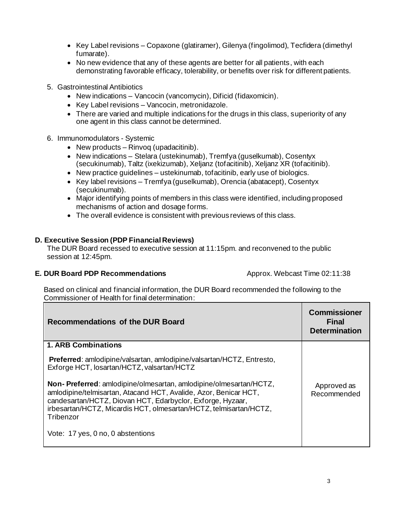- Key Label revisions Copaxone (glatiramer), Gilenya (fingolimod), Tecfidera (dimethyl fumarate).
- No new evidence that any of these agents are better for all patients, with each demonstrating favorable efficacy, tolerability, or benefits over risk for different patients.
- 5. Gastrointestinal Antibiotics
	- New indications Vancocin (vancomycin), Dificid (fidaxomicin).
	- Key Label revisions Vancocin, metronidazole.
	- There are varied and multiple indications for the drugs in this class, superiority of any one agent in this class cannot be determined.
- 6. Immunomodulators Systemic
	- New products Rinvoq (upadacitinib).
	- New indications Stelara (ustekinumab), Tremfya (guselkumab), Cosentyx (secukinumab), Taltz (ixekizumab), Xeljanz (tofacitinib), Xeljanz XR (tofacitinib).
	- New practice guidelines ustekinumab, tofacitinib, early use of biologics.
	- Key label revisions Tremfya (guselkumab), Orencia (abatacept), Cosentyx (secukinumab).
	- Major identifying points of members in this class were identified, including proposed mechanisms of action and dosage forms.
	- The overall evidence is consistent with previous reviews of this class.

# **D. Executive Session (PDP Financial Reviews)**

The DUR Board recessed to executive session at 11:15pm. and reconvened to the public session at 12:45pm.

## **E. DUR Board PDP Recommendations Approx. Webcast Time 02:11:38**

Based on clinical and financial information, the DUR Board recommended the following to the Commissioner of Health for final determination:

| Recommendations of the DUR Board                                                                                                                                                                                                                                                      | <b>Commissioner</b><br><b>Final</b><br><b>Determination</b> |
|---------------------------------------------------------------------------------------------------------------------------------------------------------------------------------------------------------------------------------------------------------------------------------------|-------------------------------------------------------------|
| <b>1. ARB Combinations</b>                                                                                                                                                                                                                                                            |                                                             |
| Preferred: amlodipine/valsartan, amlodipine/valsartan/HCTZ, Entresto,<br>Exforge HCT, losartan/HCTZ, valsartan/HCTZ                                                                                                                                                                   |                                                             |
| Non-Preferred: amlodipine/olmesartan, amlodipine/olmesartan/HCTZ,<br>amlodipine/telmisartan, Atacand HCT, Avalide, Azor, Benicar HCT,<br>candesartan/HCTZ, Diovan HCT, Edarbyclor, Exforge, Hyzaar,<br>irbesartan/HCTZ, Micardis HCT, olmesartan/HCTZ, telmisartan/HCTZ,<br>Tribenzor | Approved as<br>Recommended                                  |
| Vote: 17 yes, 0 no, 0 abstentions                                                                                                                                                                                                                                                     |                                                             |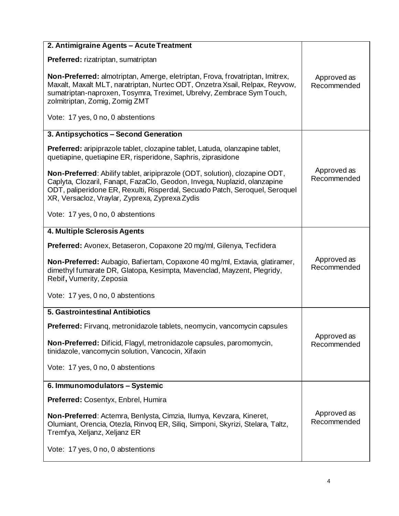| 2. Antimigraine Agents - Acute Treatment                                                                                                                                                                                                                                                        |                            |
|-------------------------------------------------------------------------------------------------------------------------------------------------------------------------------------------------------------------------------------------------------------------------------------------------|----------------------------|
| <b>Preferred:</b> rizatriptan, sumatriptan                                                                                                                                                                                                                                                      |                            |
| Non-Preferred: almotriptan, Amerge, eletriptan, Frova, frovatriptan, Imitrex,<br>Maxalt, Maxalt MLT, naratriptan, Nurtec ODT, Onzetra Xsail, Relpax, Reyvow,<br>sumatriptan-naproxen, Tosymra, Treximet, Ubrelvy, Zembrace Sym Touch,<br>zolmitriptan, Zomig, Zomig ZMT                         | Approved as<br>Recommended |
| Vote: 17 yes, 0 no, 0 abstentions                                                                                                                                                                                                                                                               |                            |
| 3. Antipsychotics - Second Generation                                                                                                                                                                                                                                                           |                            |
| <b>Preferred:</b> aripiprazole tablet, clozapine tablet, Latuda, olanzapine tablet,<br>quetiapine, quetiapine ER, risperidone, Saphris, ziprasidone                                                                                                                                             |                            |
| <b>Non-Preferred:</b> Abilify tablet, aripiprazole (ODT, solution), clozapine ODT,<br>Caplyta, Clozaril, Fanapt, FazaClo, Geodon, Invega, Nuplazid, olanzapine<br>ODT, paliperidone ER, Rexulti, Risperdal, Secuado Patch, Seroquel, Seroquel<br>XR, Versacloz, Vraylar, Zyprexa, Zyprexa Zydis | Approved as<br>Recommended |
| Vote: 17 yes, 0 no, 0 abstentions                                                                                                                                                                                                                                                               |                            |
| 4. Multiple Sclerosis Agents                                                                                                                                                                                                                                                                    |                            |
| Preferred: Avonex, Betaseron, Copaxone 20 mg/ml, Gilenya, Tecfidera                                                                                                                                                                                                                             |                            |
| Non-Preferred: Aubagio, Bafiertam, Copaxone 40 mg/ml, Extavia, glatiramer,<br>dimethyl fumarate DR, Glatopa, Kesimpta, Mavenclad, Mayzent, Plegridy,<br>Rebif, Vumerity, Zeposia                                                                                                                | Approved as<br>Recommended |
| Vote: 17 yes, 0 no, 0 abstentions                                                                                                                                                                                                                                                               |                            |
| 5. Gastrointestinal Antibiotics                                                                                                                                                                                                                                                                 |                            |
| Preferred: Firvanq, metronidazole tablets, neomycin, vancomycin capsules                                                                                                                                                                                                                        |                            |
| Non-Preferred: Dificid, Flagyl, metronidazole capsules, paromomycin,<br>tinidazole, vancomycin solution, Vancocin, Xifaxin                                                                                                                                                                      | Approved as<br>Recommended |
| Vote: 17 yes, 0 no, 0 abstentions                                                                                                                                                                                                                                                               |                            |
| 6. Immunomodulators - Systemic                                                                                                                                                                                                                                                                  |                            |
| <b>Preferred: Cosentyx, Enbrel, Humira</b>                                                                                                                                                                                                                                                      |                            |
| Non-Preferred: Actemra, Benlysta, Cimzia, Ilumya, Kevzara, Kineret,<br>Olumiant, Orencia, Otezla, Rinvoq ER, Siliq, Simponi, Skyrizi, Stelara, Taltz,<br>Tremfya, Xeljanz, Xeljanz ER                                                                                                           | Approved as<br>Recommended |
| Vote: 17 yes, 0 no, 0 abstentions                                                                                                                                                                                                                                                               |                            |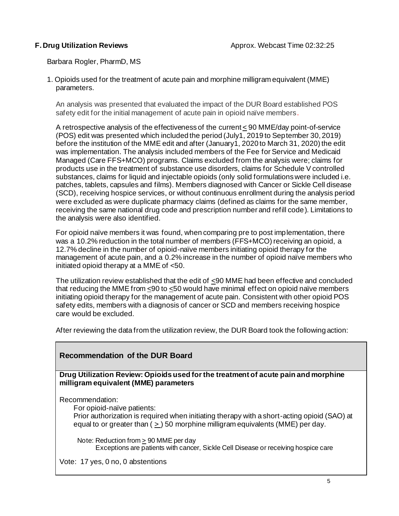Barbara Rogler, PharmD, MS

1. Opioids used for the treatment of acute pain and morphine milligram equivalent (MME) parameters.

An analysis was presented that evaluated the impact of the DUR Board established POS safety edit for the initial management of acute pain in opioid naïve members.

A retrospective analysis of the effectiveness of the current  $\leq$  90 MME/day point-of-service (POS) edit was presented which included the period (July1, 2019 to September 30, 2019) before the institution of the MME edit and after (January1, 2020 to March 31, 2020) the edit was implementation. The analysis included members of the Fee for Service and Medicaid Managed (Care FFS+MCO) programs. Claims excluded from the analysis were; claims for products use in the treatment of substance use disorders, claims for Schedule V controlled substances, claims for liquid and injectable opioids (only solid formulations were included i.e. patches, tablets, capsules and films). Members diagnosed with Cancer or Sickle Cell disease (SCD), receiving hospice services, or without continuous enrollment during the analysis period were excluded as were duplicate pharmacy claims (defined as claims for the same member, receiving the same national drug code and prescription number and refill code). Limitations to the analysis were also identified.

For opioid naïve members it was found, when comparing pre to post implementation, there was a 10.2% reduction in the total number of members (FFS+MCO) receiving an opioid, a 12.7% decline in the number of opioid-naïve members initiating opioid therapy for the management of acute pain, and a 0.2% increase in the number of opioid naïve members who initiated opioid therapy at a MME of <50.

The utilization review established that the edit of  $\leq 90$  MME had been effective and concluded that reducing the MME from  $\leq 90$  to  $\leq 50$  would have minimal effect on opioid naïve members initiating opioid therapy for the management of acute pain. Consistent with other opioid POS safety edits, members with a diagnosis of cancer or SCD and members receiving hospice care would be excluded.

After reviewing the data from the utilization review, the DUR Board took the following action:

# **Recommendation of the DUR Board**

**Drug Utilization Review: Opioids used for the treatment of acute pain and morphine milligram equivalent (MME) parameters** 

Recommendation:

For opioid-naïve patients:

Prior authorization is required when initiating therapy with a short-acting opioid (SAO) at equal to or greater than  $( > )$  50 morphine milligram equivalents (MME) per day.

Note: Reduction from  $\geq 90$  MME per day Exceptions are patients with cancer, Sickle Cell Disease or receiving hospice care

Vote: 17 yes, 0 no, 0 abstentions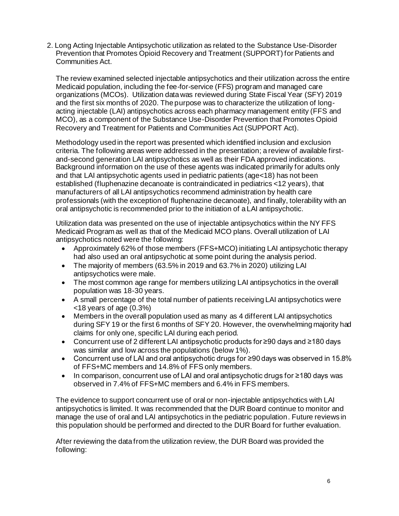2. Long Acting Injectable Antipsychotic utilization as related to the Substance Use-Disorder Prevention that Promotes Opioid Recovery and Treatment (SUPPORT) for Patients and Communities Act.

The review examined selected injectable antipsychotics and their utilization across the entire Medicaid population, including the fee-for-service (FFS) program and managed care organizations (MCOs). Utilization data was reviewed during State Fiscal Year (SFY) 2019 and the first six months of 2020. The purpose was to characterize the utilization of longacting injectable (LAI) antipsychotics across each pharmacy management entity (FFS and MCO), as a component of the Substance Use-Disorder Prevention that Promotes Opioid Recovery and Treatment for Patients and Communities Act (SUPPORT Act).

Methodology used in the report was presented which identified inclusion and exclusion criteria. The following areas were addressed in the presentation; a review of available firstand-second generation LAI antipsychotics as well as their FDA approved indications. Background information on the use of these agents was indicated primarily for adults only and that LAI antipsychotic agents used in pediatric patients (age<18) has not been established (fluphenazine decanoate is contraindicated in pediatrics <12 years), that manufacturers of all LAI antipsychotics recommend administration by health care professionals (with the exception of fluphenazine decanoate), and finally, tolerability with an oral antipsychotic is recommended prior to the initiation of a LAI antipsychotic.

Utilization data was presented on the use of injectable antipsychotics within the NY FFS Medicaid Program as well as that of the Medicaid MCO plans. Overall utilization of LAI antipsychotics noted were the following:

- Approximately 62% of those members (FFS+MCO) initiating LAI antipsychotic therapy had also used an oral antipsychotic at some point during the analysis period.
- The majority of members (63.5% in 2019 and 63.7% in 2020) utilizing LAI antipsychotics were male.
- The most common age range for members utilizing LAI antipsychotics in the overall population was 18-30 years.
- A small percentage of the total number of patients receiving LAI antipsychotics were <18 years of age (0.3%)
- Members in the overall population used as many as 4 different LAI antipsychotics during SFY 19 or the first 6 months of SFY 20. However, the overwhelming majority had claims for only one, specific LAI during each period.
- Concurrent use of 2 different LAI antipsychotic products for ≥90 days and ≥180 days was similar and low across the populations (below 1%).
- Concurrent use of LAI and oral antipsychotic drugs for ≥90 days was observed in 15.8% of FFS+MC members and 14.8% of FFS only members.
- In comparison, concurrent use of LAI and oral antipsychotic drugs for ≥180 days was observed in 7.4% of FFS+MC members and 6.4% in FFS members.

The evidence to support concurrent use of oral or non-injectable antipsychotics with LAI antipsychotics is limited. It was recommended that the DUR Board continue to monitor and manage the use of oral and LAI antipsychotics in the pediatric population. Future reviews in this population should be performed and directed to the DUR Board for further evaluation.

After reviewing the data from the utilization review, the DUR Board was provided the following: